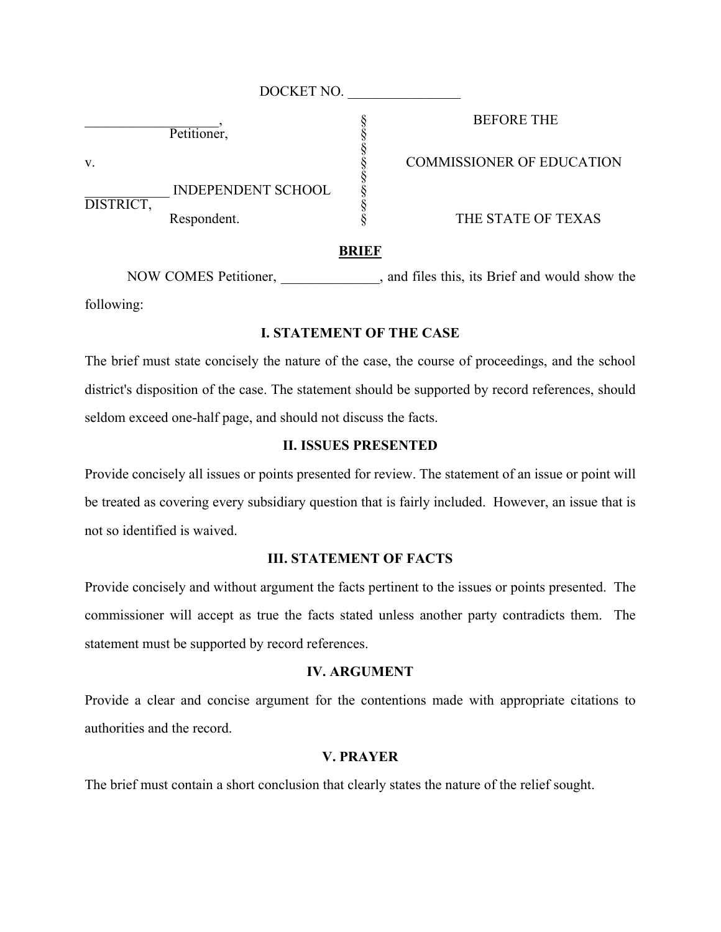|           | DOCKET NO.                |                                  |
|-----------|---------------------------|----------------------------------|
|           | Petitioner,               | <b>BEFORE THE</b>                |
| V.        |                           | <b>COMMISSIONER OF EDUCATION</b> |
|           | <b>INDEPENDENT SCHOOL</b> |                                  |
| DISTRICT, | Respondent.               | THE STATE OF TEXAS               |

#### THE STATE OF TEXAS

## **BRIEF**

NOW COMES Petitioner,  $\qquad \qquad$ , and files this, its Brief and would show the following:

# **I. STATEMENT OF THE CASE**

The brief must state concisely the nature of the case, the course of proceedings, and the school district's disposition of the case. The statement should be supported by record references, should seldom exceed one-half page, and should not discuss the facts.

## **II. ISSUES PRESENTED**

Provide concisely all issues or points presented for review. The statement of an issue or point will be treated as covering every subsidiary question that is fairly included. However, an issue that is not so identified is waived.

## **III. STATEMENT OF FACTS**

Provide concisely and without argument the facts pertinent to the issues or points presented. The commissioner will accept as true the facts stated unless another party contradicts them. The statement must be supported by record references.

#### **IV. ARGUMENT**

Provide a clear and concise argument for the contentions made with appropriate citations to authorities and the record.

### **V. PRAYER**

The brief must contain a short conclusion that clearly states the nature of the relief sought.